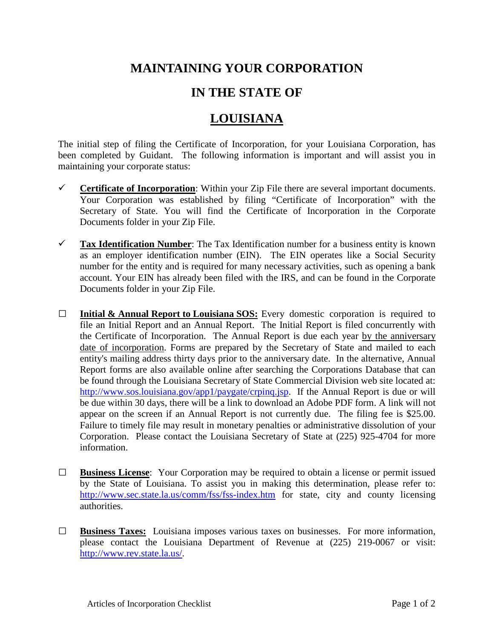## **MAINTAINING YOUR CORPORATION**

## **IN THE STATE OF**

## **LOUISIANA**

The initial step of filing the Certificate of Incorporation, for your Louisiana Corporation, has been completed by Guidant. The following information is important and will assist you in maintaining your corporate status:

- **Certificate of Incorporation:** Within your Zip File there are several important documents. Your Corporation was established by filing "Certificate of Incorporation" with the Secretary of State. You will find the Certificate of Incorporation in the Corporate Documents folder in your Zip File.
- **Tax Identification Number**: The Tax Identification number for a business entity is known as an employer identification number (EIN). The EIN operates like a Social Security number for the entity and is required for many necessary activities, such as opening a bank account. Your EIN has already been filed with the IRS, and can be found in the Corporate Documents folder in your Zip File.
- **□ Initial & Annual Report to Louisiana SOS:** Every domestic corporation is required to file an Initial Report and an Annual Report. The Initial Report is filed concurrently with the Certificate of Incorporation. The Annual Report is due each year by the anniversary date of incorporation. Forms are prepared by the Secretary of State and mailed to each entity's mailing address thirty days prior to the anniversary date. In the alternative, Annual Report forms are also available online after searching the Corporations Database that can be found through the Louisiana Secretary of State Commercial Division web site located at: [http://www.sos.louisiana.gov/app1/paygate/crpinq.jsp.](http://www.sos.louisiana.gov/app1/paygate/crpinq.jsp) If the Annual Report is due or will be due within 30 days, there will be a link to download an Adobe PDF form. A link will not appear on the screen if an Annual Report is not currently due. The filing fee is \$25.00. Failure to timely file may result in monetary penalties or administrative dissolution of your Corporation. Please contact the Louisiana Secretary of State at (225) 925-4704 for more information.
- **□ Business License**: Your Corporation may be required to obtain a license or permit issued by the State of Louisiana. To assist you in making this determination, please refer to: <http://www.sec.state.la.us/comm/fss/fss-index.htm> for state, city and county licensing authorities.
- **□ Business Taxes:** Louisiana imposes various taxes on businesses. For more information, please contact the Louisiana Department of Revenue at (225) 219-0067 or visit: [http://www.rev.state.la.us/.](http://www.rev.state.la.us/)